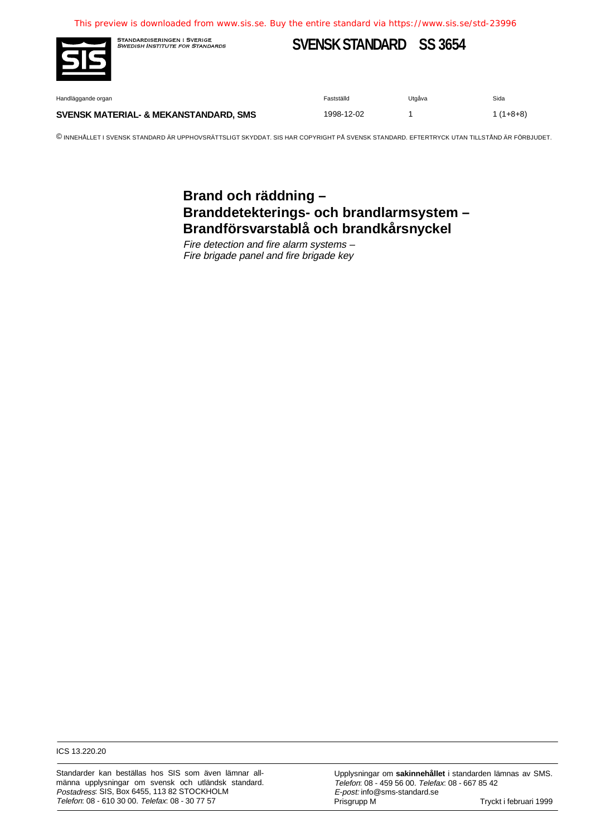

STANDARDISERINGEN I SVERIGE<br>*SWEDISH INSTITUTE FOR STANDARDS* 

# **SVENSK STANDARD SS 3654**

Handläggande organ Fastställd Utgåva Sida

#### **SVENSK MATERIAL- & MEKANSTANDARD, SMS** 1998-12-02 1 1 1 148+8)

© INNEHÅLLET I SVENSK STANDARD ÄR UPPHOVSRÄTTSLIGT SKYDDAT. SIS HAR COPYRIGHT PÅ SVENSK STANDARD. EFTERTRYCK UTAN TILLSTÅND ÄR FÖRBJUDET.

## **Brand och räddning – Branddetekterings- och brandlarmsystem – Brandförsvarstablå och brandkårsnyckel**

Fire detection and fire alarm systems – Fire brigade panel and fire brigade key

ICS 13.220.20

Standarder kan beställas hos SIS som även lämnar allmänna upplysningar om svensk och utländsk standard. Postadress: SIS, Box 6455, 113 82 STOCKHOLM Telefon: 08 - 610 30 00. Telefax: 08 - 30 77 57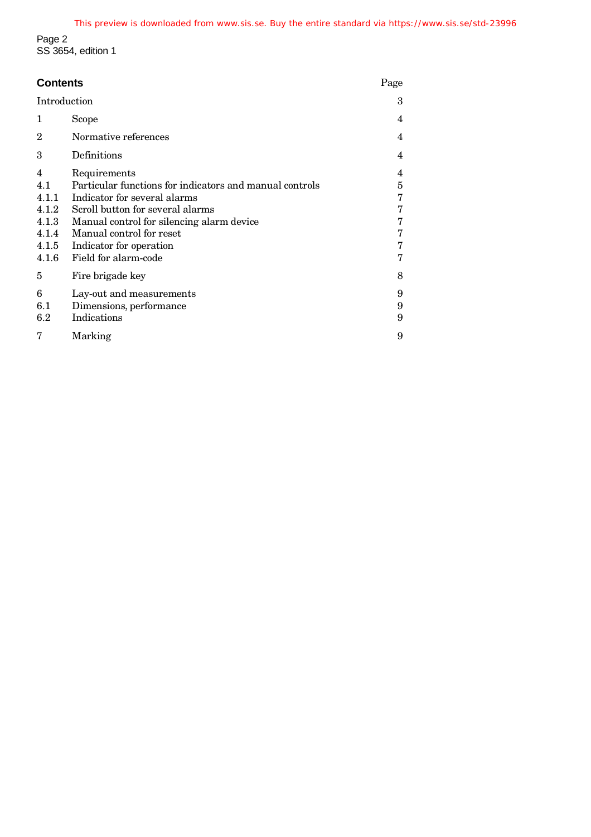Page 2 SS 3654, edition 1

| <b>Contents</b>                                                |                                                                                                                                                                                                                                                                         |                                      |  |
|----------------------------------------------------------------|-------------------------------------------------------------------------------------------------------------------------------------------------------------------------------------------------------------------------------------------------------------------------|--------------------------------------|--|
| Introduction                                                   |                                                                                                                                                                                                                                                                         | 3                                    |  |
| 1                                                              | Scope                                                                                                                                                                                                                                                                   | 4                                    |  |
| 2                                                              | Normative references                                                                                                                                                                                                                                                    | 4                                    |  |
| 3                                                              | Definitions                                                                                                                                                                                                                                                             | 4                                    |  |
| 4<br>4.1<br>4.1.1<br>4.1.2<br>4.1.3<br>4.1.4<br>4.1.5<br>4.1.6 | Requirements<br>Particular functions for indicators and manual controls<br>Indicator for several alarms<br>Scroll button for several alarms<br>Manual control for silencing alarm device<br>Manual control for reset<br>Indicator for operation<br>Field for alarm-code | 4<br>5<br>7<br>7<br>7<br>7<br>7<br>7 |  |
| 5                                                              | Fire brigade key                                                                                                                                                                                                                                                        | 8                                    |  |
| 6<br>6.1<br>6.2                                                | Lay-out and measurements<br>Dimensions, performance<br>Indications                                                                                                                                                                                                      | 9<br>9<br>9                          |  |
| 7<br>Marking                                                   |                                                                                                                                                                                                                                                                         |                                      |  |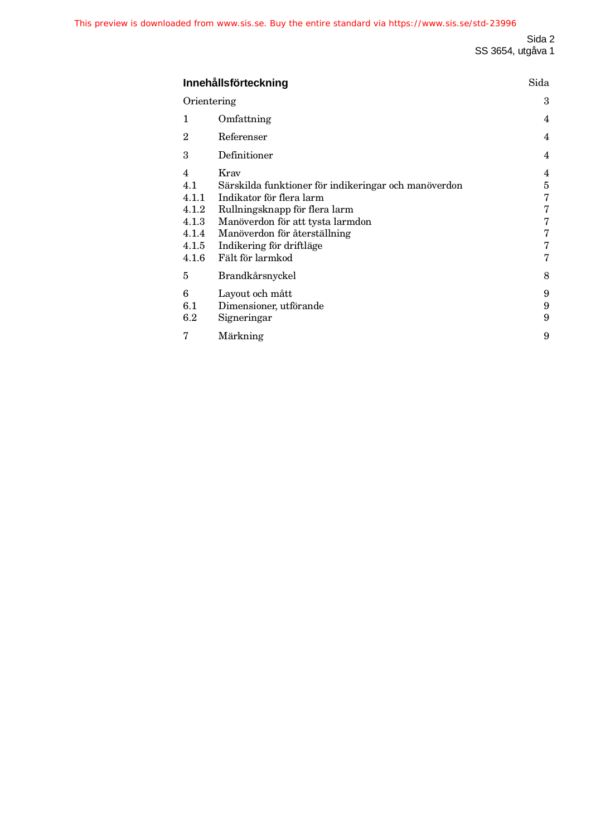| Innehållsförteckning<br>Orientering<br>1<br>Omfattning<br>$\overline{2}$<br>Referenser<br>3<br>Definitioner |                                                                |                                                                                                                                                                                                                                               |                                                               |  |  |
|-------------------------------------------------------------------------------------------------------------|----------------------------------------------------------------|-----------------------------------------------------------------------------------------------------------------------------------------------------------------------------------------------------------------------------------------------|---------------------------------------------------------------|--|--|
|                                                                                                             |                                                                |                                                                                                                                                                                                                                               |                                                               |  |  |
|                                                                                                             |                                                                |                                                                                                                                                                                                                                               | 4                                                             |  |  |
|                                                                                                             |                                                                |                                                                                                                                                                                                                                               | 4                                                             |  |  |
|                                                                                                             |                                                                |                                                                                                                                                                                                                                               | 4                                                             |  |  |
|                                                                                                             | 4<br>4.1<br>4.1.1<br>4.1.2<br>4.1.3<br>4.1.4<br>4.1.5<br>4.1.6 | Krav<br>Särskilda funktioner för indikeringar och manöverdon<br>Indikator för flera larm<br>Rullningsknapp för flera larm<br>Manöverdon för att tysta larmdon<br>Manöverdon för återställning<br>Indikering för driftläge<br>Fält för larmkod | $\overline{4}$<br>5<br>7<br>$\bf 7$<br>$\bf 7$<br>7<br>7<br>7 |  |  |
|                                                                                                             | 5                                                              | Brandkårsnyckel                                                                                                                                                                                                                               | 8                                                             |  |  |
|                                                                                                             | 6<br>6.1<br>$6.2\,$                                            | Layout och mått<br>Dimensioner, utförande<br>Signeringar                                                                                                                                                                                      | 9<br>9<br>9                                                   |  |  |
|                                                                                                             | 7                                                              | Märkning                                                                                                                                                                                                                                      | 9                                                             |  |  |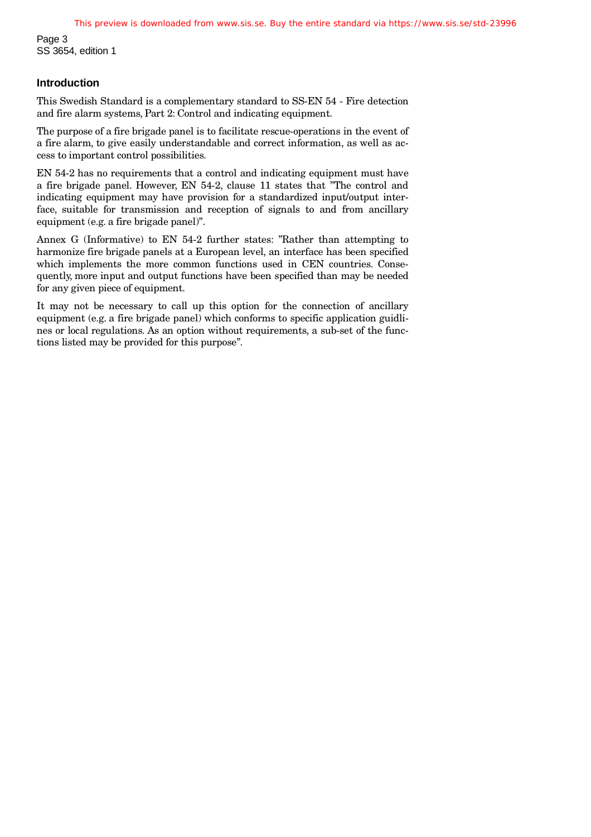Page 3 SS 3654, edition 1

#### **Introduction**

This Swedish Standard is a complementary standard to SS-EN 54 - Fire detection and fire alarm systems, Part 2: Control and indicating equipment.

The purpose of a fire brigade panel is to facilitate rescue-operations in the event of a fire alarm, to give easily understandable and correct information, as well as access to important control possibilities.

EN 54-2 has no requirements that a control and indicating equipment must have a fire brigade panel. However, EN 54-2, clause 11 states that "The control and indicating equipment may have provision for a standardized input/output interface, suitable for transmission and reception of signals to and from ancillary equipment (e.g. a fire brigade panel)".

Annex G (Informative) to EN 54-2 further states: "Rather than attempting to harmonize fire brigade panels at a European level, an interface has been specified which implements the more common functions used in CEN countries. Consequently, more input and output functions have been specified than may be needed for any given piece of equipment.

It may not be necessary to call up this option for the connection of ancillary equipment (e.g. a fire brigade panel) which conforms to specific application guidlines or local regulations. As an option without requirements, a sub-set of the functions listed may be provided for this purpose".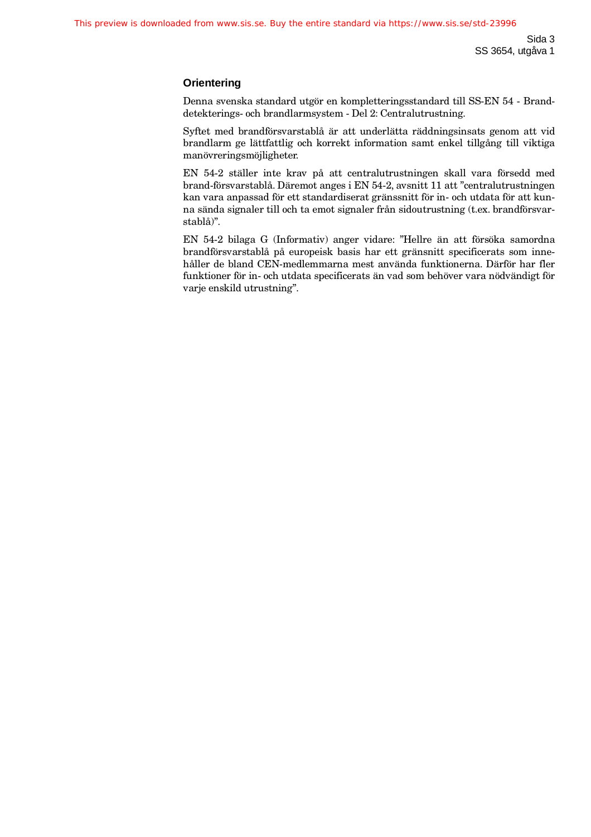#### **Orientering**

Denna svenska standard utgör en kompletteringsstandard till SS-EN 54 - Branddetekterings- och brandlarmsystem - Del 2: Centralutrustning.

Syftet med brandförsvarstablå är att underlätta räddningsinsats genom att vid brandlarm ge lättfattlig och korrekt information samt enkel tillgång till viktiga manövreringsmöjligheter.

EN 54-2 ställer inte krav på att centralutrustningen skall vara försedd med brand-försvarstablå. Däremot anges i EN 54-2, avsnitt 11 att "centralutrustningen kan vara anpassad för ett standardiserat gränssnitt för in- och utdata för att kunna sända signaler till och ta emot signaler från sidoutrustning (t.ex. brandförsvarstablå)".

EN 54-2 bilaga G (Informativ) anger vidare: "Hellre än att försöka samordna brandförsvarstablå på europeisk basis har ett gränsnitt specificerats som innehåller de bland CEN-medlemmarna mest använda funktionerna. Därför har fler funktioner för in- och utdata specificerats än vad som behöver vara nödvändigt för varje enskild utrustning".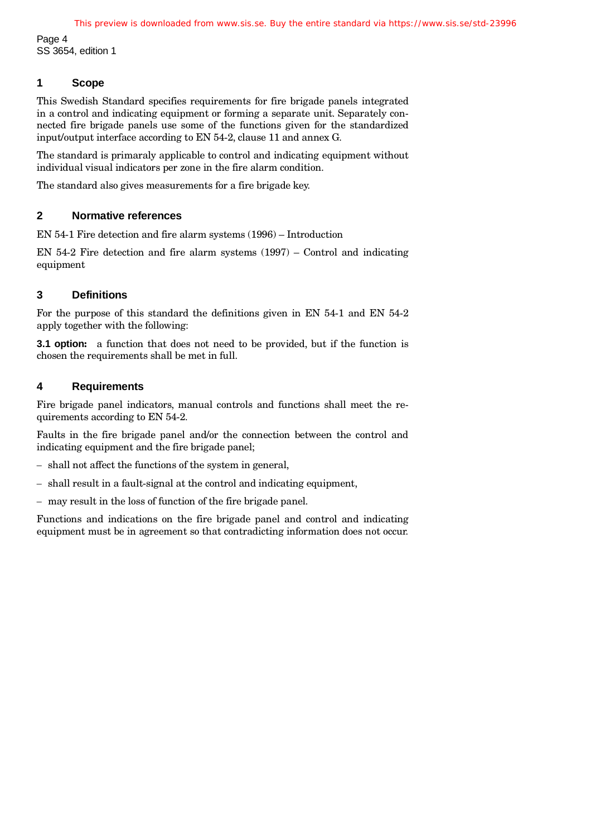Page 4 SS 3654, edition 1

## **1 Scope**

This Swedish Standard specifies requirements for fire brigade panels integrated in a control and indicating equipment or forming a separate unit. Separately connected fire brigade panels use some of the functions given for the standardized input/output interface according to EN 54-2, clause 11 and annex G.

The standard is primaraly applicable to control and indicating equipment without individual visual indicators per zone in the fire alarm condition.

The standard also gives measurements for a fire brigade key.

## **2 Normative references**

EN 54-1 Fire detection and fire alarm systems (1996) – Introduction

EN  $54-2$  Fire detection and fire alarm systems  $(1997)$  – Control and indicating equipment

## **3 Definitions**

For the purpose of this standard the definitions given in EN 54-1 and EN 54-2 apply together with the following:

**3.1 option:** a function that does not need to be provided, but if the function is chosen the requirements shall be met in full.

## **4 Requirements**

Fire brigade panel indicators, manual controls and functions shall meet the requirements according to EN 54-2.

Faults in the fire brigade panel and/or the connection between the control and indicating equipment and the fire brigade panel;

- shall not affect the functions of the system in general,
- shall result in a fault-signal at the control and indicating equipment,
- may result in the loss of function of the fire brigade panel.

Functions and indications on the fire brigade panel and control and indicating equipment must be in agreement so that contradicting information does not occur.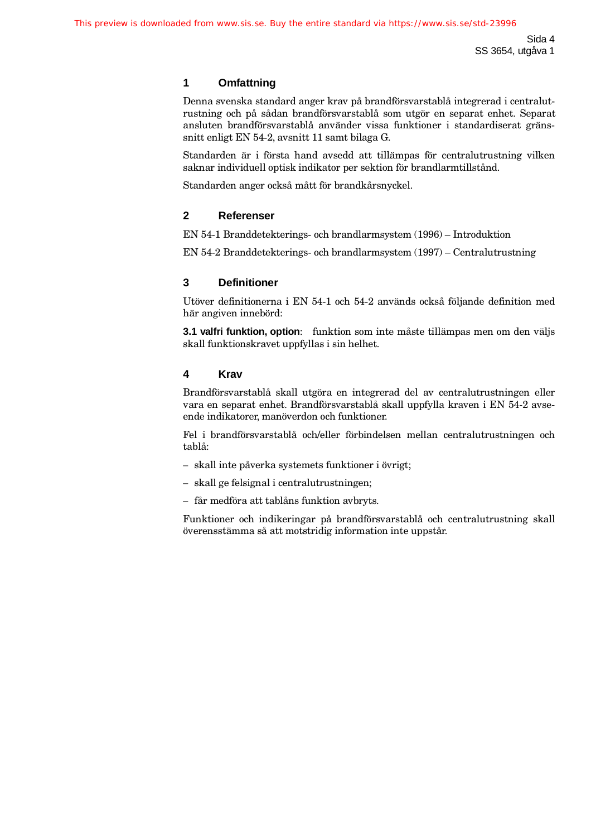## **1 Omfattning**

Denna svenska standard anger krav på brandförsvarstablå integrerad i centralutrustning och på sådan brandförsvarstablå som utgör en separat enhet. Separat ansluten brandförsvarstablå använder vissa funktioner i standardiserat gränssnitt enligt EN 54-2, avsnitt 11 samt bilaga G.

Standarden är i första hand avsedd att tillämpas för centralutrustning vilken saknar individuell optisk indikator per sektion för brandlarmtillstånd.

Standarden anger också mått för brandkårsnyckel.

#### **2 Referenser**

EN 54-1 Branddetekterings- och brandlarmsystem (1996) – Introduktion

EN 54-2 Branddetekterings- och brandlarmsystem (1997) – Centralutrustning

#### **3 Definitioner**

Utöver definitionerna i EN 54-1 och 54-2 används också följande definition med här angiven innebörd:

**3.1 valfri funktion, option**: funktion som inte måste tillämpas men om den väljs skall funktionskravet uppfyllas i sin helhet.

#### **4 Krav**

Brandförsvarstablå skall utgöra en integrerad del av centralutrustningen eller vara en separat enhet. Brandförsvarstablå skall uppfylla kraven i EN 54-2 avseende indikatorer, manöverdon och funktioner.

Fel i brandförsvarstablå och/eller förbindelsen mellan centralutrustningen och tablå:

- skall inte påverka systemets funktioner i övrigt;
- skall ge felsignal i centralutrustningen;
- får medföra att tablåns funktion avbryts.

Funktioner och indikeringar på brandförsvarstablå och centralutrustning skall överensstämma så att motstridig information inte uppstår.